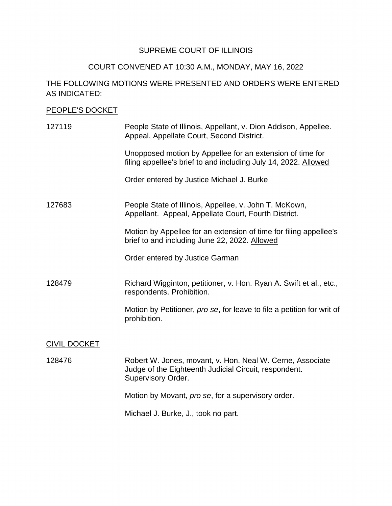# SUPREME COURT OF ILLINOIS

#### COURT CONVENED AT 10:30 A.M., MONDAY, MAY 16, 2022

## THE FOLLOWING MOTIONS WERE PRESENTED AND ORDERS WERE ENTERED AS INDICATED:

### PEOPLE'S DOCKET

| 127119              | People State of Illinois, Appellant, v. Dion Addison, Appellee.<br>Appeal, Appellate Court, Second District.                                    |
|---------------------|-------------------------------------------------------------------------------------------------------------------------------------------------|
|                     | Unopposed motion by Appellee for an extension of time for<br>filing appellee's brief to and including July 14, 2022. Allowed                    |
|                     | Order entered by Justice Michael J. Burke                                                                                                       |
| 127683              | People State of Illinois, Appellee, v. John T. McKown,<br>Appellant. Appeal, Appellate Court, Fourth District.                                  |
|                     | Motion by Appellee for an extension of time for filing appellee's<br>brief to and including June 22, 2022. Allowed                              |
|                     | Order entered by Justice Garman                                                                                                                 |
| 128479              | Richard Wigginton, petitioner, v. Hon. Ryan A. Swift et al., etc.,<br>respondents. Prohibition.                                                 |
|                     | Motion by Petitioner, pro se, for leave to file a petition for writ of<br>prohibition.                                                          |
| <b>CIVIL DOCKET</b> |                                                                                                                                                 |
| 128476              | Robert W. Jones, movant, v. Hon. Neal W. Cerne, Associate<br>Judge of the Eighteenth Judicial Circuit, respondent.<br><b>Supervisory Order.</b> |
|                     | Motion by Movant, pro se, for a supervisory order.                                                                                              |

Michael J. Burke, J., took no part.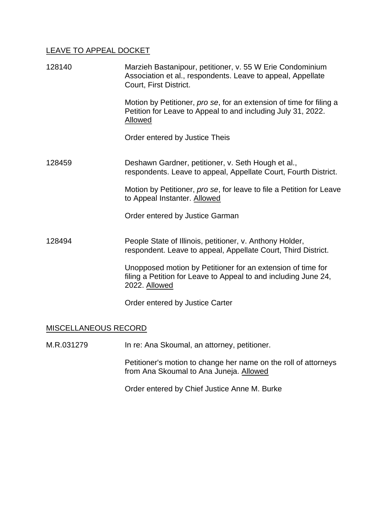### LEAVE TO APPEAL DOCKET

| 128140 | Marzieh Bastanipour, petitioner, v. 55 W Erie Condominium<br>Association et al., respondents. Leave to appeal, Appellate<br>Court, First District. |
|--------|----------------------------------------------------------------------------------------------------------------------------------------------------|
|        | Motion by Petitioner, pro se, for an extension of time for filing a<br>Petition for Leave to Appeal to and including July 31, 2022.<br>Allowed     |
|        | Order entered by Justice Theis                                                                                                                     |
| 128459 | Deshawn Gardner, petitioner, v. Seth Hough et al.,<br>respondents. Leave to appeal, Appellate Court, Fourth District.                              |
|        | Motion by Petitioner, pro se, for leave to file a Petition for Leave<br>to Appeal Instanter. Allowed                                               |
|        | Order entered by Justice Garman                                                                                                                    |
| 128494 | People State of Illinois, petitioner, v. Anthony Holder,<br>respondent. Leave to appeal, Appellate Court, Third District.                          |
|        | Unopposed motion by Petitioner for an extension of time for<br>filing a Petition for Leave to Appeal to and including June 24,<br>2022. Allowed    |
|        | Order entered by Justice Carter                                                                                                                    |

# MISCELLANEOUS RECORD

M.R.031279 In re: Ana Skoumal, an attorney, petitioner.

 Petitioner's motion to change her name on the roll of attorneys from Ana Skoumal to Ana Juneja. Allowed

Order entered by Chief Justice Anne M. Burke